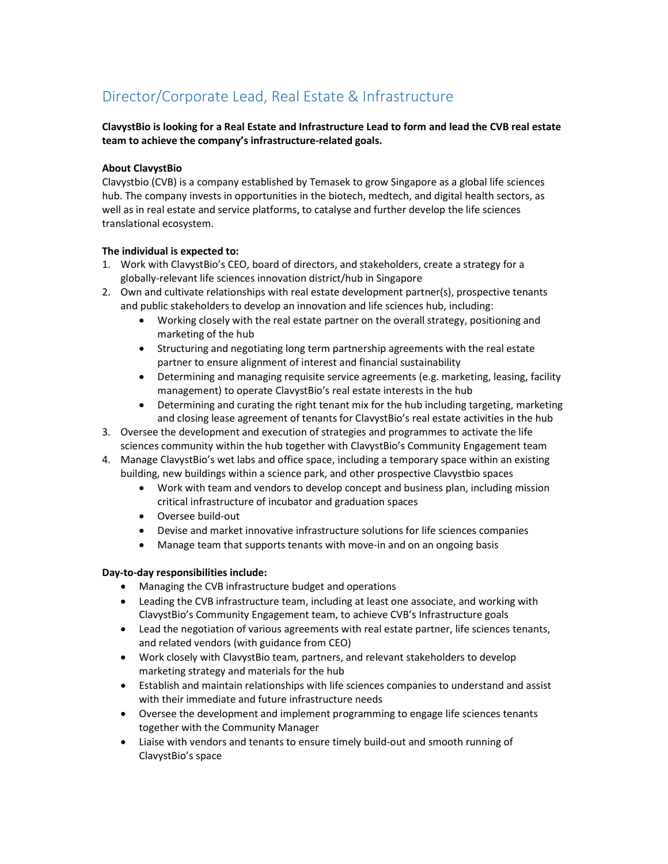# Director/Corporate Lead, Real Estate & Infrastructure

## ClavystBio is looking for a Real Estate and Infrastructure Lead to form and lead the CVB real estate team to achieve the company's infrastructure-related goals.

## About ClavystBio

Clavystbio (CVB) is a company established by Temasek to grow Singapore as a global life sciences hub. The company invests in opportunities in the biotech, medtech, and digital health sectors, as well as in real estate and service platforms, to catalyse and further develop the life sciences translational ecosystem.

## The individual is expected to:

- 1. Work with ClavystBio's CEO, board of directors, and stakeholders, create a strategy for a globally-relevant life sciences innovation district/hub in Singapore
- 2. Own and cultivate relationships with real estate development partner(s), prospective tenants and public stakeholders to develop an innovation and life sciences hub, including:
	- Working closely with the real estate partner on the overall strategy, positioning and marketing of the hub
	- Structuring and negotiating long term partnership agreements with the real estate partner to ensure alignment of interest and financial sustainability
	- Determining and managing requisite service agreements (e.g. marketing, leasing, facility management) to operate ClavystBio's real estate interests in the hub
	- Determining and curating the right tenant mix for the hub including targeting, marketing and closing lease agreement of tenants for ClavystBio's real estate activities in the hub
- 3. Oversee the development and execution of strategies and programmes to activate the life sciences community within the hub together with ClavystBio's Community Engagement team
- 4. Manage ClavystBio's wet labs and office space, including a temporary space within an existing building, new buildings within a science park, and other prospective Clavystbio spaces
	- Work with team and vendors to develop concept and business plan, including mission critical infrastructure of incubator and graduation spaces
	- Oversee build-out
	- Devise and market innovative infrastructure solutions for life sciences companies
	- Manage team that supports tenants with move-in and on an ongoing basis

#### Day-to-day responsibilities include:

- Managing the CVB infrastructure budget and operations
- Leading the CVB infrastructure team, including at least one associate, and working with ClavystBio's Community Engagement team, to achieve CVB's Infrastructure goals
- Lead the negotiation of various agreements with real estate partner, life sciences tenants, and related vendors (with guidance from CEO)
- Work closely with ClavystBio team, partners, and relevant stakeholders to develop marketing strategy and materials for the hub
- Establish and maintain relationships with life sciences companies to understand and assist with their immediate and future infrastructure needs
- Oversee the development and implement programming to engage life sciences tenants together with the Community Manager
- Liaise with vendors and tenants to ensure timely build-out and smooth running of ClavystBio's space